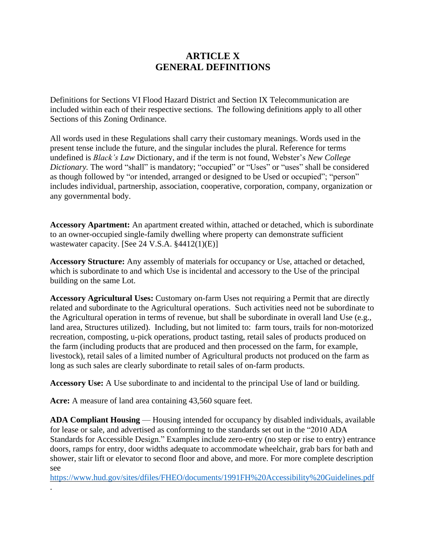## **ARTICLE X GENERAL DEFINITIONS**

Definitions for Sections VI Flood Hazard District and Section IX Telecommunication are included within each of their respective sections. The following definitions apply to all other Sections of this Zoning Ordinance.

All words used in these Regulations shall carry their customary meanings. Words used in the present tense include the future, and the singular includes the plural. Reference for terms undefined is *Black's Law* Dictionary, and if the term is not found, Webster's *New College Dictionary.* The word "shall" is mandatory; "occupied" or "Uses" or "uses" shall be considered as though followed by "or intended, arranged or designed to be Used or occupied"; "person" includes individual, partnership, association, cooperative, corporation, company, organization or any governmental body.

**Accessory Apartment:** An apartment **c**reated within, attached or detached, which is subordinate to an owner-occupied single-family dwelling where property can demonstrate sufficient wastewater capacity. [See 24 V.S.A. §4412(1)(E)]

**Accessory Structure:** Any assembly of materials for occupancy or Use, attached or detached, which is subordinate to and which Use is incidental and accessory to the Use of the principal building on the same Lot.

**Accessory Agricultural Uses:** Customary on-farm Uses not requiring a Permit that are directly related and subordinate to the Agricultural operations. Such activities need not be subordinate to the Agricultural operation in terms of revenue, but shall be subordinate in overall land Use (e.g., land area, Structures utilized). Including, but not limited to: farm tours, trails for non-motorized recreation, composting, u-pick operations, product tasting, retail sales of products produced on the farm (including products that are produced and then processed on the farm, for example, livestock), retail sales of a limited number of Agricultural products not produced on the farm as long as such sales are clearly subordinate to retail sales of on-farm products.

**Accessory Use:** A Use subordinate to and incidental to the principal Use of land or building.

**Acre:** A measure of land area containing 43,560 square feet.

.

**ADA Compliant Housing** — Housing intended for occupancy by disabled individuals, available for lease or sale, and advertised as conforming to the standards set out in the "2010 ADA Standards for Accessible Design." Examples include zero-entry (no step or rise to entry) entrance doors, ramps for entry, door widths adequate to accommodate wheelchair, grab bars for bath and shower, stair lift or elevator to second floor and above, and more. For more complete description see

<https://www.hud.gov/sites/dfiles/FHEO/documents/1991FH%20Accessibility%20Guidelines.pdf>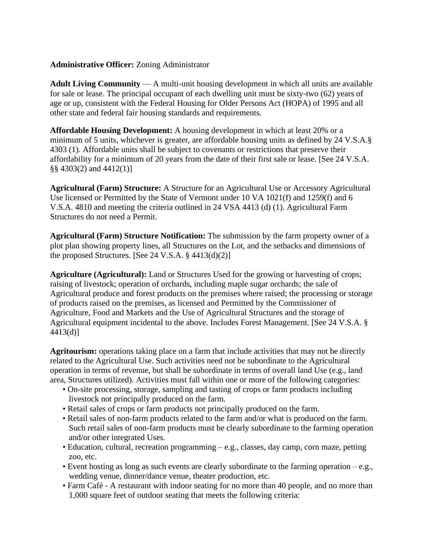## **Administrative Officer:** Zoning Administrator

**Adult Living Community** — A multi-unit housing development in which all units are available for sale or lease. The principal occupant of each dwelling unit must be sixty-two (62) years of age or up, consistent with the Federal Housing for Older Persons Act (HOPA) of 1995 and all other state and federal fair housing standards and requirements.

**Affordable Housing Development:** A housing development in which at least 20% or a minimum of 5 units, whichever is greater, are affordable housing units as defined by 24 V.S.A.§ 4303 (1). Affordable units shall be subject to covenants or restrictions that preserve their affordability for a minimum of 20 years from the date of their first sale or lease. [See 24 V.S.A. §§ 4303(2) and 4412(1)]

**Agricultural (Farm) Structure:** A Structure for an Agricultural Use or Accessory Agricultural Use licensed or Permitted by the State of Vermont under 10 VA 1021(f) and 1259(f) and 6 V.S.A. 4810 and meeting the criteria outlined in 24 VSA 4413 (d) (1). Agricultural Farm Structures do not need a Permit.

**Agricultural (Farm) Structure Notification:** The submission by the farm property owner of a plot plan showing property lines, all Structures on the Lot, and the setbacks and dimensions of the proposed Structures. [See 24 V.S.A.  $\S$  4413(d)(2)]

**Agriculture (Agricultural):** Land or Structures Used for the growing or harvesting of crops; raising of livestock; operation of orchards, including maple sugar orchards; the sale of Agricultural produce and forest products on the premises where raised; the processing or storage of products raised on the premises, as licensed and Permitted by the Commissioner of Agriculture, Food and Markets and the Use of Agricultural Structures and the storage of Agricultural equipment incidental to the above. Includes Forest Management. [See 24 V.S.A. § 4413(d)]

**Agritourism:** operations taking place on a farm that include activities that may not be directly related to the Agricultural Use. Such activities need not be subordinate to the Agricultural operation in terms of revenue, but shall be subordinate in terms of overall land Use (e.g., land area, Structures utilized). Activities must fall within one or more of the following categories:

- On-site processing, storage, sampling and tasting of crops or farm products including livestock not principally produced on the farm.
- Retail sales of crops or farm products not principally produced on the farm.
- Retail sales of non-farm products related to the farm and/or what is produced on the farm. Such retail sales of non-farm products must be clearly subordinate to the farming operation and/or other integrated Uses.
- Education, cultural, recreation programming e.g., classes, day camp, corn maze, petting zoo, etc.
- Event hosting as long as such events are clearly subordinate to the farming operation e.g., wedding venue, dinner/dance venue, theater production, etc.
- Farm Café A restaurant with indoor seating for no more than 40 people, and no more than 1,000 square feet of outdoor seating that meets the following criteria: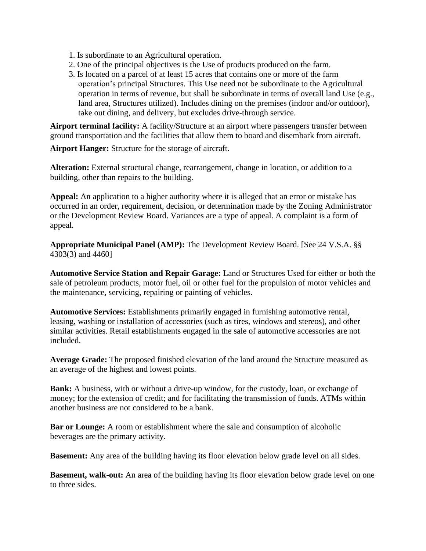- 1. Is subordinate to an Agricultural operation.
- 2. One of the principal objectives is the Use of products produced on the farm.
- 3. Is located on a parcel of at least 15 acres that contains one or more of the farm operation's principal Structures. This Use need not be subordinate to the Agricultural operation in terms of revenue, but shall be subordinate in terms of overall land Use (e.g., land area, Structures utilized). Includes dining on the premises (indoor and/or outdoor), take out dining, and delivery, but excludes drive-through service.

**Airport terminal facility:** A facility/Structure at an airport where passengers transfer between ground transportation and the facilities that allow them to board and disembark from aircraft.

**Airport Hanger:** Structure for the storage of aircraft.

**Alteration:** External structural change, rearrangement, change in location, or addition to a building, other than repairs to the building.

**Appeal:** An application to a higher authority where it is alleged that an error or mistake has occurred in an order, requirement, decision, or determination made by the Zoning Administrator or the Development Review Board. Variances are a type of appeal. A complaint is a form of appeal.

**Appropriate Municipal Panel (AMP):** The Development Review Board. [See 24 V.S.A. §§ 4303(3) and 4460]

**Automotive Service Station and Repair Garage:** Land or Structures Used for either or both the sale of petroleum products, motor fuel, oil or other fuel for the propulsion of motor vehicles and the maintenance, servicing, repairing or painting of vehicles.

**Automotive Services:** Establishments primarily engaged in furnishing automotive rental, leasing, washing or installation of accessories (such as tires, windows and stereos), and other similar activities. Retail establishments engaged in the sale of automotive accessories are not included.

**Average Grade:** The proposed finished elevation of the land around the Structure measured as an average of the highest and lowest points.

**Bank:** A business, with or without a drive-up window, for the custody, loan, or exchange of money; for the extension of credit; and for facilitating the transmission of funds. ATMs within another business are not considered to be a bank.

**Bar or Lounge:** A room or establishment where the sale and consumption of alcoholic beverages are the primary activity.

**Basement:** Any area of the building having its floor elevation below grade level on all sides.

**Basement, walk-out:** An area of the building having its floor elevation below grade level on one to three sides.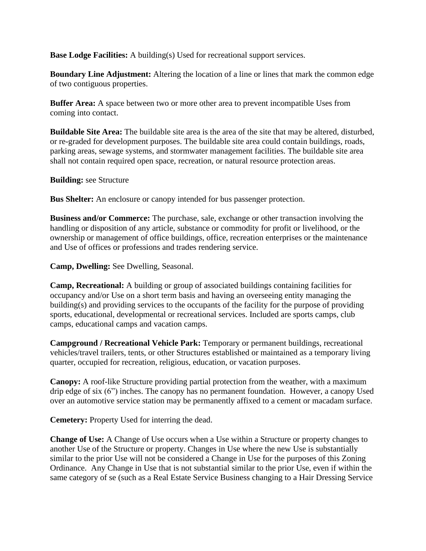**Base Lodge Facilities:** A building(s) Used for recreational support services.

**Boundary Line Adjustment:** Altering the location of a line or lines that mark the common edge of two contiguous properties.

**Buffer Area:** A space between two or more other area to prevent incompatible Uses from coming into contact.

**Buildable Site Area:** The buildable site area is the area of the site that may be altered, disturbed, or re-graded for development purposes. The buildable site area could contain buildings, roads, parking areas, sewage systems, and stormwater management facilities. The buildable site area shall not contain required open space, recreation, or natural resource protection areas.

**Building:** see Structure

**Bus Shelter:** An enclosure or canopy intended for bus passenger protection.

**Business and/or Commerce:** The purchase, sale, exchange or other transaction involving the handling or disposition of any article, substance or commodity for profit or livelihood, or the ownership or management of office buildings, office, recreation enterprises or the maintenance and Use of offices or professions and trades rendering service.

**Camp, Dwelling:** See Dwelling, Seasonal.

**Camp, Recreational:** A building or group of associated buildings containing facilities for occupancy and/or Use on a short term basis and having an overseeing entity managing the building(s) and providing services to the occupants of the facility for the purpose of providing sports, educational, developmental or recreational services. Included are sports camps, club camps, educational camps and vacation camps.

**Campground / Recreational Vehicle Park:** Temporary or permanent buildings, recreational vehicles/travel trailers, tents, or other Structures established or maintained as a temporary living quarter, occupied for recreation, religious, education, or vacation purposes.

**Canopy:** A roof-like Structure providing partial protection from the weather, with a maximum drip edge of six (6") inches. The canopy has no permanent foundation. However, a canopy Used over an automotive service station may be permanently affixed to a cement or macadam surface.

**Cemetery:** Property Used for interring the dead.

**Change of Use:** A Change of Use occurs when a Use within a Structure or property changes to another Use of the Structure or property. Changes in Use where the new Use is substantially similar to the prior Use will not be considered a Change in Use for the purposes of this Zoning Ordinance. Any Change in Use that is not substantial similar to the prior Use, even if within the same category of se (such as a Real Estate Service Business changing to a Hair Dressing Service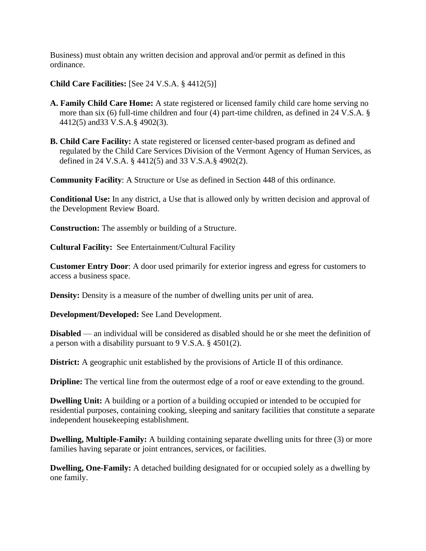Business) must obtain any written decision and approval and/or permit as defined in this ordinance.

**Child Care Facilities:** [See 24 V.S.A. § 4412(5)]

- **A. Family Child Care Home:** A state registered or licensed family child care home serving no more than six (6) full-time children and four (4) part-time children, as defined in 24 V.S.A. § 4412(5) and33 V.S.A.§ 4902(3).
- **B. Child Care Facility:** A state registered or licensed center-based program as defined and regulated by the Child Care Services Division of the Vermont Agency of Human Services, as defined in 24 V.S.A. § 4412(5) and 33 V.S.A.§ 4902(2).

**Community Facility**: A Structure or Use as defined in Section 448 of this ordinance.

**Conditional Use:** In any district, a Use that is allowed only by written decision and approval of the Development Review Board.

**Construction:** The assembly or building of a Structure.

**Cultural Facility:** See Entertainment/Cultural Facility

**Customer Entry Door**: A door used primarily for exterior ingress and egress for customers to access a business space.

**Density:** Density is a measure of the number of dwelling units per unit of area.

**Development/Developed:** See Land Development.

**Disabled** — an individual will be considered as disabled should he or she meet the definition of a person with a disability pursuant to 9 V.S.A. § 4501(2).

**District:** A geographic unit established by the provisions of Article II of this ordinance.

**Dripline:** The vertical line from the outermost edge of a roof or eave extending to the ground.

**Dwelling Unit:** A building or a portion of a building occupied or intended to be occupied for residential purposes, containing cooking, sleeping and sanitary facilities that constitute a separate independent housekeeping establishment.

**Dwelling, Multiple-Family:** A building containing separate dwelling units for three (3) or more families having separate or joint entrances, services, or facilities.

**Dwelling, One-Family:** A detached building designated for or occupied solely as a dwelling by one family.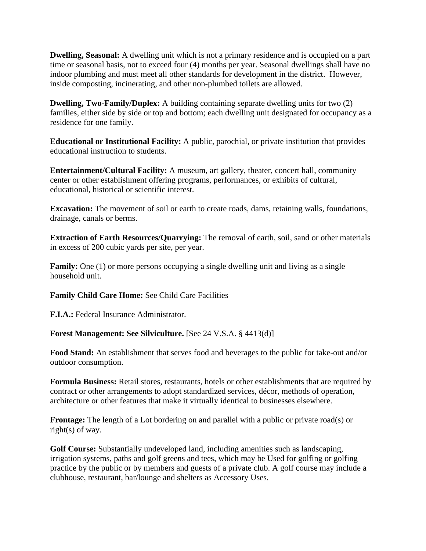**Dwelling, Seasonal:** A dwelling unit which is not a primary residence and is occupied on a part time or seasonal basis, not to exceed four (4) months per year. Seasonal dwellings shall have no indoor plumbing and must meet all other standards for development in the district. However, inside composting, incinerating, and other non-plumbed toilets are allowed.

**Dwelling, Two-Family/Duplex:** A building containing separate dwelling units for two (2) families, either side by side or top and bottom; each dwelling unit designated for occupancy as a residence for one family.

**Educational or Institutional Facility:** A public, parochial, or private institution that provides educational instruction to students.

**Entertainment/Cultural Facility:** A museum, art gallery, theater, concert hall, community center or other establishment offering programs, performances, or exhibits of cultural, educational, historical or scientific interest.

**Excavation:** The movement of soil or earth to create roads, dams, retaining walls, foundations, drainage, canals or berms.

**Extraction of Earth Resources/Quarrying:** The removal of earth, soil, sand or other materials in excess of 200 cubic yards per site, per year.

**Family:** One (1) or more persons occupying a single dwelling unit and living as a single household unit.

**Family Child Care Home:** See Child Care Facilities

**F.I.A.:** Federal Insurance Administrator.

**Forest Management: See Silviculture.** [See 24 V.S.A. § 4413(d)]

**Food Stand:** An establishment that serves food and beverages to the public for take-out and/or outdoor consumption.

**Formula Business:** Retail stores, restaurants, hotels or other establishments that are required by contract or other arrangements to adopt standardized services, décor, methods of operation, architecture or other features that make it virtually identical to businesses elsewhere.

**Frontage:** The length of a Lot bordering on and parallel with a public or private road(s) or right(s) of way.

**Golf Course:** Substantially undeveloped land, including amenities such as landscaping, irrigation systems, paths and golf greens and tees, which may be Used for golfing or golfing practice by the public or by members and guests of a private club. A golf course may include a clubhouse, restaurant, bar/lounge and shelters as Accessory Uses.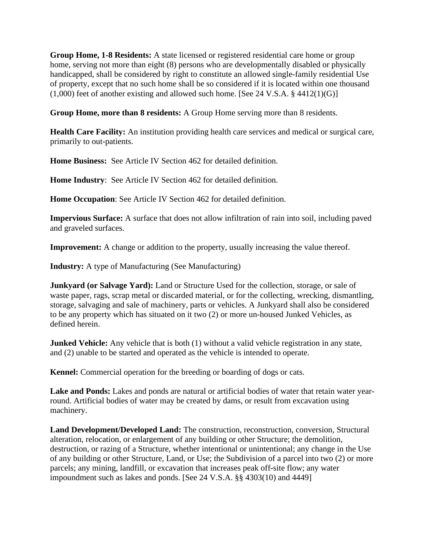**Group Home, 1-8 Residents:** A state licensed or registered residential care home or group home, serving not more than eight (8) persons who are developmentally disabled or physically handicapped, shall be considered by right to constitute an allowed single-family residential Use of property, except that no such home shall be so considered if it is located within one thousand  $(1,000)$  feet of another existing and allowed such home. [See 24 V.S.A. § 4412(1)(G)]

**Group Home, more than 8 residents:** A Group Home serving more than 8 residents.

**Health Care Facility:** An institution providing health care services and medical or surgical care, primarily to out-patients.

**Home Business:** See Article IV Section 462 for detailed definition.

**Home Industry**: See Article IV Section 462 for detailed definition.

**Home Occupation**: See Article IV Section 462 for detailed definition.

**Impervious Surface:** A surface that does not allow infiltration of rain into soil, including paved and graveled surfaces.

**Improvement:** A change or addition to the property, usually increasing the value thereof.

**Industry:** A type of Manufacturing (See Manufacturing)

**Junkyard (or Salvage Yard):** Land or Structure Used for the collection, storage, or sale of waste paper, rags, scrap metal or discarded material, or for the collecting, wrecking, dismantling, storage, salvaging and sale of machinery, parts or vehicles. A Junkyard shall also be considered to be any property which has situated on it two (2) or more un-housed Junked Vehicles, as defined herein.

**Junked Vehicle:** Any vehicle that is both (1) without a valid vehicle registration in any state, and (2) unable to be started and operated as the vehicle is intended to operate.

**Kennel:** Commercial operation for the breeding or boarding of dogs or cats.

**Lake and Ponds:** Lakes and ponds are natural or artificial bodies of water that retain water yearround. Artificial bodies of water may be created by dams, or result from excavation using machinery.

**Land Development/Developed Land:** The construction, reconstruction, conversion, Structural alteration, relocation, or enlargement of any building or other Structure; the demolition, destruction, or razing of a Structure, whether intentional or unintentional; any change in the Use of any building or other Structure, Land, or Use; the Subdivision of a parcel into two (2) or more parcels; any mining, landfill, or excavation that increases peak off-site flow; any water impoundment such as lakes and ponds. [See 24 V.S.A. §§ 4303(10) and 4449]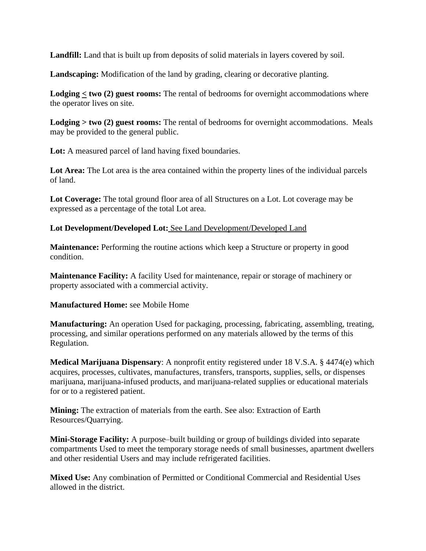**Landfill:** Land that is built up from deposits of solid materials in layers covered by soil.

**Landscaping:** Modification of the land by grading, clearing or decorative planting.

**Lodging < two (2) guest rooms:** The rental of bedrooms for overnight accommodations where the operator lives on site.

**Lodging > two (2) guest rooms:** The rental of bedrooms for overnight accommodations. Meals may be provided to the general public.

**Lot:** A measured parcel of land having fixed boundaries.

**Lot Area:** The Lot area is the area contained within the property lines of the individual parcels of land.

**Lot Coverage:** The total ground floor area of all Structures on a Lot. Lot coverage may be expressed as a percentage of the total Lot area.

**Lot Development/Developed Lot:** See Land Development/Developed Land

**Maintenance:** Performing the routine actions which keep a Structure or property in good condition.

**Maintenance Facility:** A facility Used for maintenance, repair or storage of machinery or property associated with a commercial activity.

## **Manufactured Home:** see Mobile Home

**Manufacturing:** An operation Used for packaging, processing, fabricating, assembling, treating, processing, and similar operations performed on any materials allowed by the terms of this Regulation.

**Medical Marijuana Dispensary**: A nonprofit entity registered under 18 V.S.A. § 4474(e) which acquires, processes, cultivates, manufactures, transfers, transports, supplies, sells, or dispenses marijuana, marijuana-infused products, and marijuana-related supplies or educational materials for or to a registered patient.

**Mining:** The extraction of materials from the earth. See also: Extraction of Earth Resources/Quarrying.

**Mini-Storage Facility:** A purpose–built building or group of buildings divided into separate compartments Used to meet the temporary storage needs of small businesses, apartment dwellers and other residential Users and may include refrigerated facilities.

**Mixed Use:** Any combination of Permitted or Conditional Commercial and Residential Uses allowed in the district.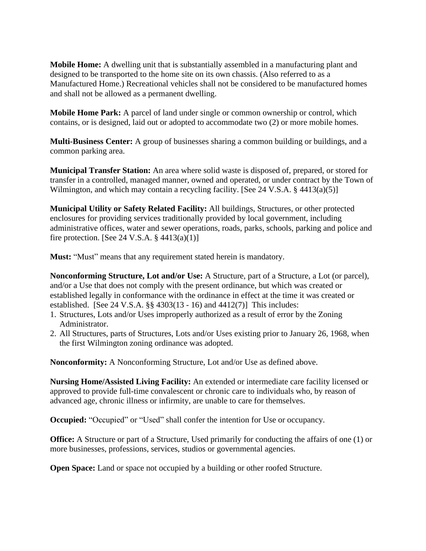**Mobile Home:** A dwelling unit that is substantially assembled in a manufacturing plant and designed to be transported to the home site on its own chassis. (Also referred to as a Manufactured Home.) Recreational vehicles shall not be considered to be manufactured homes and shall not be allowed as a permanent dwelling.

**Mobile Home Park:** A parcel of land under single or common ownership or control, which contains, or is designed, laid out or adopted to accommodate two (2) or more mobile homes.

**Multi-Business Center:** A group of businesses sharing a common building or buildings, and a common parking area.

**Municipal Transfer Station:** An area where solid waste is disposed of, prepared, or stored for transfer in a controlled, managed manner, owned and operated, or under contract by the Town of Wilmington, and which may contain a recycling facility. [See 24 V.S.A. § 4413(a)(5)]

**Municipal Utility or Safety Related Facility:** All buildings, Structures, or other protected enclosures for providing services traditionally provided by local government, including administrative offices, water and sewer operations, roads, parks, schools, parking and police and fire protection. [See 24 V.S.A.  $\S$  4413(a)(1)]

**Must:** "Must" means that any requirement stated herein is mandatory.

**Nonconforming Structure, Lot and/or Use:** A Structure, part of a Structure, a Lot (or parcel), and/or a Use that does not comply with the present ordinance, but which was created or established legally in conformance with the ordinance in effect at the time it was created or established. [See 24 V.S.A. §§ 4303(13 - 16) and 4412(7)] This includes:

- 1. Structures, Lots and/or Uses improperly authorized as a result of error by the Zoning Administrator.
- 2. All Structures, parts of Structures, Lots and/or Uses existing prior to January 26, 1968, when the first Wilmington zoning ordinance was adopted.

**Nonconformity:** A Nonconforming Structure, Lot and/or Use as defined above.

**Nursing Home/Assisted Living Facility:** An extended or intermediate care facility licensed or approved to provide full-time convalescent or chronic care to individuals who, by reason of advanced age, chronic illness or infirmity, are unable to care for themselves.

**Occupied:** "Occupied" or "Used" shall confer the intention for Use or occupancy.

**Office:** A Structure or part of a Structure, Used primarily for conducting the affairs of one (1) or more businesses, professions, services, studios or governmental agencies.

**Open Space:** Land or space not occupied by a building or other roofed Structure.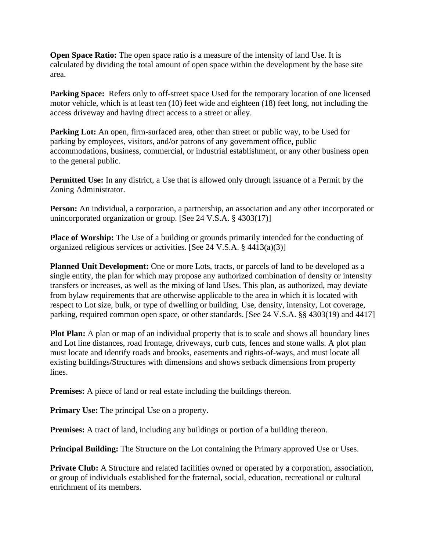**Open Space Ratio:** The open space ratio is a measure of the intensity of land Use. It is calculated by dividing the total amount of open space within the development by the base site area.

**Parking Space:** Refers only to off-street space Used for the temporary location of one licensed motor vehicle, which is at least ten (10) feet wide and eighteen (18) feet long, not including the access driveway and having direct access to a street or alley.

**Parking Lot:** An open, firm-surfaced area, other than street or public way, to be Used for parking by employees, visitors, and/or patrons of any government office, public accommodations, business, commercial, or industrial establishment, or any other business open to the general public.

**Permitted Use:** In any district, a Use that is allowed only through issuance of a Permit by the Zoning Administrator.

**Person:** An individual, a corporation, a partnership, an association and any other incorporated or unincorporated organization or group. [See 24 V.S.A. § 4303(17)]

**Place of Worship:** The Use of a building or grounds primarily intended for the conducting of organized religious services or activities. [See 24 V.S.A. § 4413(a)(3)]

**Planned Unit Development:** One or more Lots, tracts, or parcels of land to be developed as a single entity, the plan for which may propose any authorized combination of density or intensity transfers or increases, as well as the mixing of land Uses. This plan, as authorized, may deviate from bylaw requirements that are otherwise applicable to the area in which it is located with respect to Lot size, bulk, or type of dwelling or building, Use, density, intensity, Lot coverage, parking, required common open space, or other standards. [See 24 V.S.A. §§ 4303(19) and 4417]

**Plot Plan:** A plan or map of an individual property that is to scale and shows all boundary lines and Lot line distances, road frontage, driveways, curb cuts, fences and stone walls. A plot plan must locate and identify roads and brooks, easements and rights-of-ways, and must locate all existing buildings/Structures with dimensions and shows setback dimensions from property lines.

**Premises:** A piece of land or real estate including the buildings thereon.

**Primary Use:** The principal Use on a property.

**Premises:** A tract of land, including any buildings or portion of a building thereon.

**Principal Building:** The Structure on the Lot containing the Primary approved Use or Uses.

**Private Club:** A Structure and related facilities owned or operated by a corporation, association, or group of individuals established for the fraternal, social, education, recreational or cultural enrichment of its members.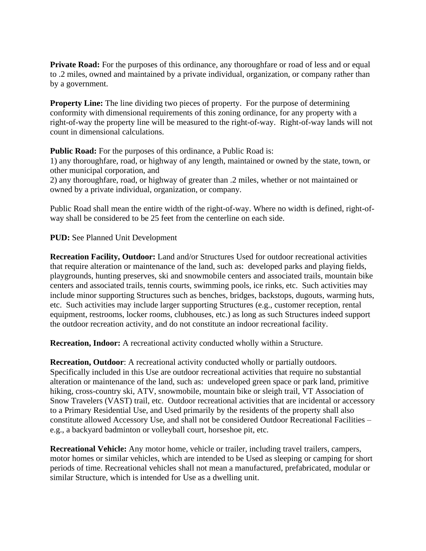**Private Road:** For the purposes of this ordinance, any thoroughfare or road of less and or equal to .2 miles, owned and maintained by a private individual, organization, or company rather than by a government.

**Property Line:** The line dividing two pieces of property. For the purpose of determining conformity with dimensional requirements of this zoning ordinance, for any property with a right-of-way the property line will be measured to the right-of-way. Right-of-way lands will not count in dimensional calculations.

**Public Road:** For the purposes of this ordinance, a Public Road is:

1) any thoroughfare, road, or highway of any length, maintained or owned by the state, town, or other municipal corporation, and

2) any thoroughfare, road, or highway of greater than .2 miles, whether or not maintained or owned by a private individual, organization, or company.

Public Road shall mean the entire width of the right-of-way. Where no width is defined, right-ofway shall be considered to be 25 feet from the centerline on each side.

**PUD:** See Planned Unit Development

**Recreation Facility, Outdoor:** Land and/or Structures Used for outdoor recreational activities that require alteration or maintenance of the land, such as: developed parks and playing fields, playgrounds, hunting preserves, ski and snowmobile centers and associated trails, mountain bike centers and associated trails, tennis courts, swimming pools, ice rinks, etc. Such activities may include minor supporting Structures such as benches, bridges, backstops, dugouts, warming huts, etc. Such activities may include larger supporting Structures (e.g., customer reception, rental equipment, restrooms, locker rooms, clubhouses, etc.) as long as such Structures indeed support the outdoor recreation activity, and do not constitute an indoor recreational facility.

**Recreation, Indoor:** A recreational activity conducted wholly within a Structure.

**Recreation, Outdoor**: A recreational activity conducted wholly or partially outdoors. Specifically included in this Use are outdoor recreational activities that require no substantial alteration or maintenance of the land, such as: undeveloped green space or park land, primitive hiking, cross-country ski, ATV, snowmobile, mountain bike or sleigh trail, VT Association of Snow Travelers (VAST) trail, etc. Outdoor recreational activities that are incidental or accessory to a Primary Residential Use, and Used primarily by the residents of the property shall also constitute allowed Accessory Use, and shall not be considered Outdoor Recreational Facilities – e.g., a backyard badminton or volleyball court, horseshoe pit, etc.

**Recreational Vehicle:** Any motor home, vehicle or trailer, including travel trailers, campers, motor homes or similar vehicles, which are intended to be Used as sleeping or camping for short periods of time. Recreational vehicles shall not mean a manufactured, prefabricated, modular or similar Structure, which is intended for Use as a dwelling unit.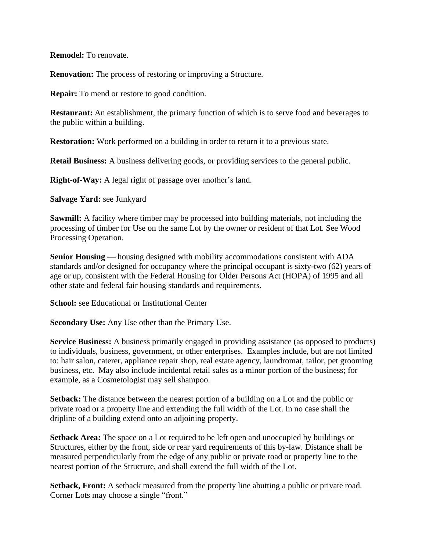**Remodel:** To renovate.

**Renovation:** The process of restoring or improving a Structure.

**Repair:** To mend or restore to good condition.

**Restaurant:** An establishment, the primary function of which is to serve food and beverages to the public within a building.

**Restoration:** Work performed on a building in order to return it to a previous state.

**Retail Business:** A business delivering goods, or providing services to the general public.

**Right-of-Way:** A legal right of passage over another's land.

**Salvage Yard:** see Junkyard

**Sawmill:** A facility where timber may be processed into building materials, not including the processing of timber for Use on the same Lot by the owner or resident of that Lot. See Wood Processing Operation.

**Senior Housing** — housing designed with mobility accommodations consistent with ADA standards and/or designed for occupancy where the principal occupant is sixty-two (62) years of age or up, consistent with the Federal Housing for Older Persons Act (HOPA) of 1995 and all other state and federal fair housing standards and requirements.

**School:** see Educational or Institutional Center

**Secondary Use:** Any Use other than the Primary Use.

**Service Business:** A business primarily engaged in providing assistance (as opposed to products) to individuals, business, government, or other enterprises. Examples include, but are not limited to: hair salon, caterer, appliance repair shop, real estate agency, laundromat, tailor, pet grooming business, etc. May also include incidental retail sales as a minor portion of the business; for example, as a Cosmetologist may sell shampoo.

**Setback:** The distance between the nearest portion of a building on a Lot and the public or private road or a property line and extending the full width of the Lot. In no case shall the dripline of a building extend onto an adjoining property.

**Setback Area:** The space on a Lot required to be left open and unoccupied by buildings or Structures, either by the front, side or rear yard requirements of this by-law. Distance shall be measured perpendicularly from the edge of any public or private road or property line to the nearest portion of the Structure, and shall extend the full width of the Lot.

**Setback, Front:** A setback measured from the property line abutting a public or private road. Corner Lots may choose a single "front."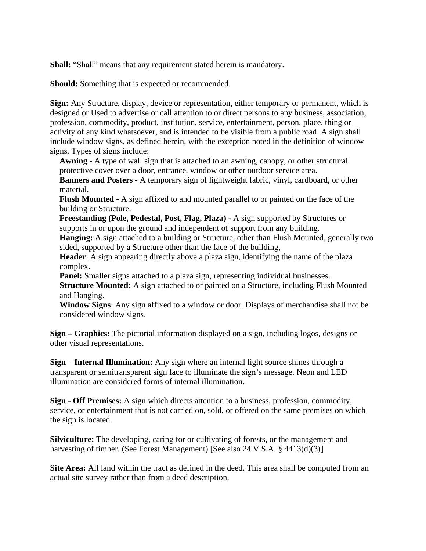**Shall:** "Shall" means that any requirement stated herein is mandatory.

**Should:** Something that is expected or recommended.

**Sign:** Any Structure, display, device or representation, either temporary or permanent, which is designed or Used to advertise or call attention to or direct persons to any business, association, profession, commodity, product, institution, service, entertainment, person, place, thing or activity of any kind whatsoever, and is intended to be visible from a public road. A sign shall include window signs, as defined herein, with the exception noted in the definition of window signs. Types of signs include:

**Awning -** A type of wall sign that is attached to an awning, canopy, or other structural protective cover over a door, entrance, window or other outdoor service area.

**Banners and Posters** - A temporary sign of lightweight fabric, vinyl, cardboard, or other material.

**Flush Mounted** - A sign affixed to and mounted parallel to or painted on the face of the building or Structure.

**Freestanding (Pole, Pedestal, Post, Flag, Plaza) -** A sign supported by Structures or supports in or upon the ground and independent of support from any building.

**Hanging:** A sign attached to a building or Structure, other than Flush Mounted, generally two sided, supported by a Structure other than the face of the building,

**Header**: A sign appearing directly above a plaza sign, identifying the name of the plaza complex.

**Panel:** Smaller signs attached to a plaza sign, representing individual businesses. **Structure Mounted:** A sign attached to or painted on a Structure, including Flush Mounted and Hanging.

**Window Signs**: Any sign affixed to a window or door. Displays of merchandise shall not be considered window signs.

**Sign – Graphics:** The pictorial information displayed on a sign, including logos, designs or other visual representations.

**Sign – Internal Illumination:** Any sign where an internal light source shines through a transparent or semitransparent sign face to illuminate the sign's message. Neon and LED illumination are considered forms of internal illumination.

**Sign - Off Premises:** A sign which directs attention to a business, profession, commodity, service, or entertainment that is not carried on, sold, or offered on the same premises on which the sign is located.

**Silviculture:** The developing, caring for or cultivating of forests, or the management and harvesting of timber. (See Forest Management) [See also 24 V.S.A. § 4413(d)(3)]

**Site Area:** All land within the tract as defined in the deed. This area shall be computed from an actual site survey rather than from a deed description.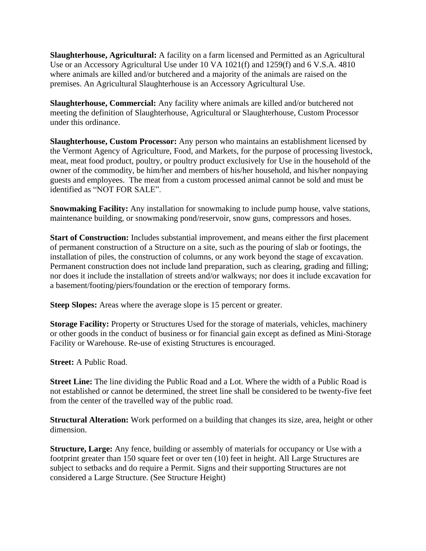**Slaughterhouse, Agricultural:** A facility on a farm licensed and Permitted as an Agricultural Use or an Accessory Agricultural Use under 10 VA 1021(f) and 1259(f) and 6 V.S.A. 4810 where animals are killed and/or butchered and a majority of the animals are raised on the premises. An Agricultural Slaughterhouse is an Accessory Agricultural Use.

**Slaughterhouse, Commercial:** Any facility where animals are killed and/or butchered not meeting the definition of Slaughterhouse, Agricultural or Slaughterhouse, Custom Processor under this ordinance.

**Slaughterhouse, Custom Processor:** Any person who maintains an establishment licensed by the Vermont Agency of Agriculture, Food, and Markets, for the purpose of processing livestock, meat, meat food product, poultry, or poultry product exclusively for Use in the household of the owner of the commodity, be him/her and members of his/her household, and his/her nonpaying guests and employees. The meat from a custom processed animal cannot be sold and must be identified as "NOT FOR SALE".

**Snowmaking Facility:** Any installation for snowmaking to include pump house, valve stations, maintenance building, or snowmaking pond/reservoir, snow guns, compressors and hoses.

**Start of Construction:** Includes substantial improvement, and means either the first placement of permanent construction of a Structure on a site, such as the pouring of slab or footings, the installation of piles, the construction of columns, or any work beyond the stage of excavation. Permanent construction does not include land preparation, such as clearing, grading and filling; nor does it include the installation of streets and/or walkways; nor does it include excavation for a basement/footing/piers/foundation or the erection of temporary forms.

**Steep Slopes:** Areas where the average slope is 15 percent or greater.

**Storage Facility:** Property or Structures Used for the storage of materials, vehicles, machinery or other goods in the conduct of business or for financial gain except as defined as Mini-Storage Facility or Warehouse. Re-use of existing Structures is encouraged.

**Street:** A Public Road.

**Street Line:** The line dividing the Public Road and a Lot. Where the width of a Public Road is not established or cannot be determined, the street line shall be considered to be twenty-five feet from the center of the travelled way of the public road.

**Structural Alteration:** Work performed on a building that changes its size, area, height or other dimension.

**Structure, Large:** Any fence, building or assembly of materials for occupancy or Use with a footprint greater than 150 square feet or over ten (10) feet in height. All Large Structures are subject to setbacks and do require a Permit. Signs and their supporting Structures are not considered a Large Structure. (See Structure Height)